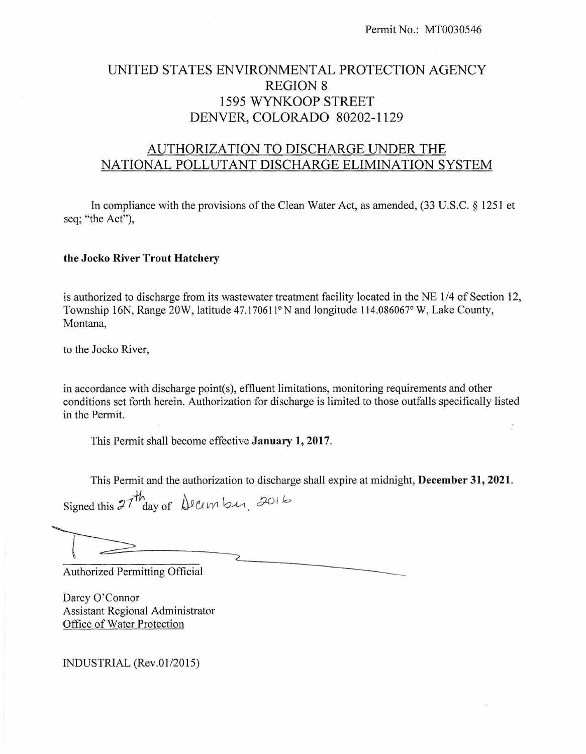# UNITED STATES ENVIRONMENTAL PROTECTION AGENCY REGION 8 1595 WYNKOOP STREET DENVER, COLORADO 80202-1129

# AUTHORIZATION TO DISCHARGE UNDER THE NATIONAL POLLUTANT DISCHARGE ELIMINATION SYSTEM

In compliance with the provisions of the Clean Water Act, as amended, (33 U.S.C. § 1251 et seq; "the Act"),

### **the Jocko River Trout Hatchery**

is authorized to discharge from its wastewater treatment facility located in the NE 1/4 of Section 12, Township 16N, Range 20W, latitude 47.170611° N and longitude 114.086067° W, Lake County, Montana,

to the Jocko River,

in accordance with discharge point(s), effluent limitations, monitoring requirements and other conditions set forth herein. Authorization for discharge is limited to those outfalls specifically listed in the Permit.

This Permit shall become effective **January 1, 2017.** 

This Permit and the authorization to discharge shall expire at midnight, December 31, 2021.

Signed this  $27^{th}$  day of Deember, 2016

This Permit shall become effective<br>This Permit and the authorization 1<br>Signed this  $27 \frac{h}{h}$  day of  $\sqrt{2 \pi h}$ <br>Authorized Permitting Official Authorized Permitting Official<br>Darcy O'Connor

Darcy O'Connor Assistant Regional Administrator Office of Water Protection

INDUSTRIAL (Rev.01/2015)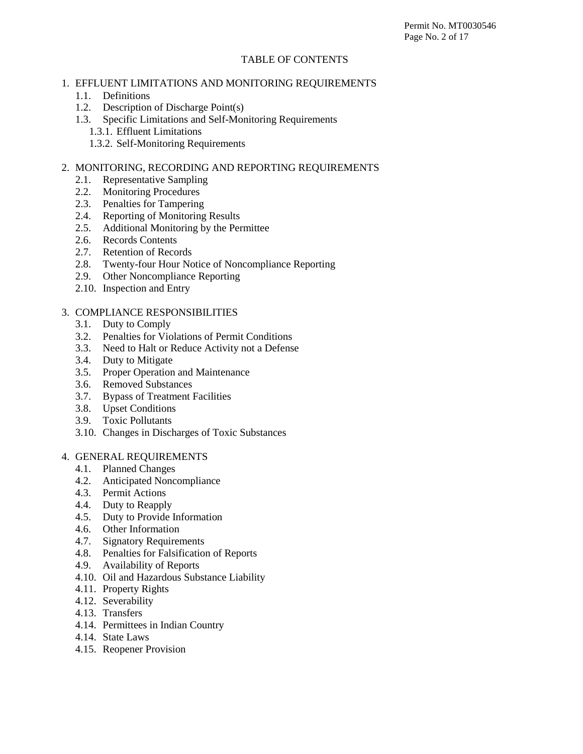#### TABLE OF CONTENTS

# 1. EFFLUENT LIMITATIONS AND MONITORING REQUIREMENTS

- 1.1. Definitions
- 1.2. Description of Discharge Point(s)
- 1.3. Specific Limitations and Self-Monitoring Requirements
	- 1.3.1. Effluent Limitations
	- 1.3.2. Self-Monitoring Requirements

# 2. MONITORING, RECORDING AND REPORTING REQUIREMENTS

- 2.1. Representative Sampling
- 2.2. Monitoring Procedures
- 2.3. Penalties for Tampering
- 2.4. Reporting of Monitoring Results
- 2.5. Additional Monitoring by the Permittee
- 2.6. Records Contents
- 2.7. Retention of Records
- 2.8. Twenty-four Hour Notice of Noncompliance Reporting
- 2.9. Other Noncompliance Reporting
- 2.10. Inspection and Entry

### 3. COMPLIANCE RESPONSIBILITIES

- 3.1. Duty to Comply
- 3.2. Penalties for Violations of Permit Conditions
- 3.3. Need to Halt or Reduce Activity not a Defense
- 3.4. Duty to Mitigate
- 3.5. Proper Operation and Maintenance
- 3.6. Removed Substances
- 3.7. Bypass of Treatment Facilities
- 3.8. Upset Conditions
- 3.9. Toxic Pollutants
- 3.10. Changes in Discharges of Toxic Substances

# 4. GENERAL REQUIREMENTS

- 4.1. Planned Changes
- 4.2. Anticipated Noncompliance
- 4.3. Permit Actions
- 4.4. Duty to Reapply
- 4.5. Duty to Provide Information
- 4.6. Other Information
- 4.7. Signatory Requirements
- 4.8. Penalties for Falsification of Reports
- 4.9. Availability of Reports
- 4.10. Oil and Hazardous Substance Liability
- 4.11. Property Rights
- 4.12. Severability
- 4.13. Transfers
- 4.14. Permittees in Indian Country
- 4.14. State Laws
- 4.15. Reopener Provision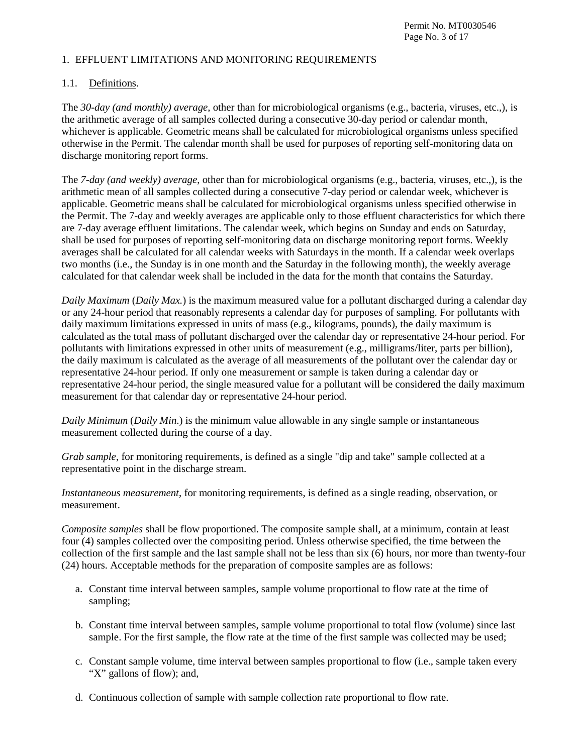#### 1. EFFLUENT LIMITATIONS AND MONITORING REQUIREMENTS

# 1.1. Definitions.

The *30-day (and monthly) average*, other than for microbiological organisms (e.g., bacteria, viruses, etc.,), is the arithmetic average of all samples collected during a consecutive 30-day period or calendar month, whichever is applicable. Geometric means shall be calculated for microbiological organisms unless specified otherwise in the Permit. The calendar month shall be used for purposes of reporting self-monitoring data on discharge monitoring report forms.

The *7-day (and weekly) average*, other than for microbiological organisms (e.g., bacteria, viruses, etc.,), is the arithmetic mean of all samples collected during a consecutive 7-day period or calendar week, whichever is applicable. Geometric means shall be calculated for microbiological organisms unless specified otherwise in the Permit. The 7-day and weekly averages are applicable only to those effluent characteristics for which there are 7-day average effluent limitations. The calendar week, which begins on Sunday and ends on Saturday, shall be used for purposes of reporting self-monitoring data on discharge monitoring report forms. Weekly averages shall be calculated for all calendar weeks with Saturdays in the month. If a calendar week overlaps two months (i.e., the Sunday is in one month and the Saturday in the following month), the weekly average calculated for that calendar week shall be included in the data for the month that contains the Saturday.

*Daily Maximum* (*Daily Max.*) is the maximum measured value for a pollutant discharged during a calendar day or any 24-hour period that reasonably represents a calendar day for purposes of sampling. For pollutants with daily maximum limitations expressed in units of mass (e.g., kilograms, pounds), the daily maximum is calculated as the total mass of pollutant discharged over the calendar day or representative 24-hour period. For pollutants with limitations expressed in other units of measurement (e.g., milligrams/liter, parts per billion), the daily maximum is calculated as the average of all measurements of the pollutant over the calendar day or representative 24-hour period. If only one measurement or sample is taken during a calendar day or representative 24-hour period, the single measured value for a pollutant will be considered the daily maximum measurement for that calendar day or representative 24-hour period.

*Daily Minimum* (*Daily Min*.) is the minimum value allowable in any single sample or instantaneous measurement collected during the course of a day.

*Grab sample*, for monitoring requirements, is defined as a single "dip and take" sample collected at a representative point in the discharge stream.

*Instantaneous measurement*, for monitoring requirements, is defined as a single reading, observation, or measurement.

*Composite samples* shall be flow proportioned. The composite sample shall, at a minimum, contain at least four (4) samples collected over the compositing period. Unless otherwise specified, the time between the collection of the first sample and the last sample shall not be less than six (6) hours, nor more than twenty-four (24) hours. Acceptable methods for the preparation of composite samples are as follows:

- a. Constant time interval between samples, sample volume proportional to flow rate at the time of sampling;
- b. Constant time interval between samples, sample volume proportional to total flow (volume) since last sample. For the first sample, the flow rate at the time of the first sample was collected may be used;
- c. Constant sample volume, time interval between samples proportional to flow (i.e., sample taken every "X" gallons of flow); and,
- d. Continuous collection of sample with sample collection rate proportional to flow rate.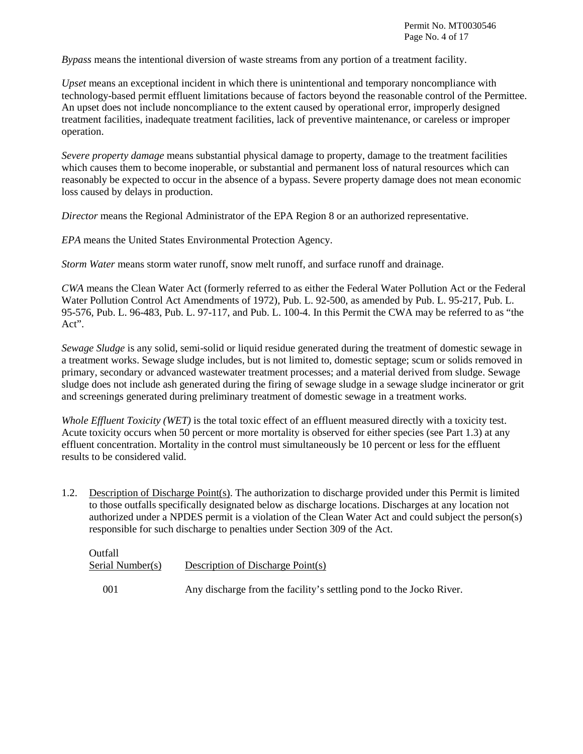Permit No. MT0030546 Page No. 4 of 17

*Bypass* means the intentional diversion of waste streams from any portion of a treatment facility.

*Upset* means an exceptional incident in which there is unintentional and temporary noncompliance with technology-based permit effluent limitations because of factors beyond the reasonable control of the Permittee. An upset does not include noncompliance to the extent caused by operational error, improperly designed treatment facilities, inadequate treatment facilities, lack of preventive maintenance, or careless or improper operation.

*Severe property damage* means substantial physical damage to property, damage to the treatment facilities which causes them to become inoperable, or substantial and permanent loss of natural resources which can reasonably be expected to occur in the absence of a bypass. Severe property damage does not mean economic loss caused by delays in production.

*Director* means the Regional Administrator of the EPA Region 8 or an authorized representative.

*EPA* means the United States Environmental Protection Agency.

*Storm Water* means storm water runoff, snow melt runoff, and surface runoff and drainage.

*CWA* means the Clean Water Act (formerly referred to as either the Federal Water Pollution Act or the Federal Water Pollution Control Act Amendments of 1972), Pub. L. 92-500, as amended by Pub. L. 95-217, Pub. L. 95-576, Pub. L. 96-483, Pub. L. 97-117, and Pub. L. 100-4. In this Permit the CWA may be referred to as "the Act".

*Sewage Sludge* is any solid, semi-solid or liquid residue generated during the treatment of domestic sewage in a treatment works. Sewage sludge includes, but is not limited to, domestic septage; scum or solids removed in primary, secondary or advanced wastewater treatment processes; and a material derived from sludge. Sewage sludge does not include ash generated during the firing of sewage sludge in a sewage sludge incinerator or grit and screenings generated during preliminary treatment of domestic sewage in a treatment works.

*Whole Effluent Toxicity (WET)* is the total toxic effect of an effluent measured directly with a toxicity test. Acute toxicity occurs when 50 percent or more mortality is observed for either species (see Part 1.3) at any effluent concentration. Mortality in the control must simultaneously be 10 percent or less for the effluent results to be considered valid.

1.2. Description of Discharge Point(s). The authorization to discharge provided under this Permit is limited to those outfalls specifically designated below as discharge locations. Discharges at any location not authorized under a NPDES permit is a violation of the Clean Water Act and could subject the person(s) responsible for such discharge to penalties under Section 309 of the Act.

| Outfall          |                                                                     |
|------------------|---------------------------------------------------------------------|
| Serial Number(s) | Description of Discharge Point(s)                                   |
| 001              | Any discharge from the facility's settling pond to the Jocko River. |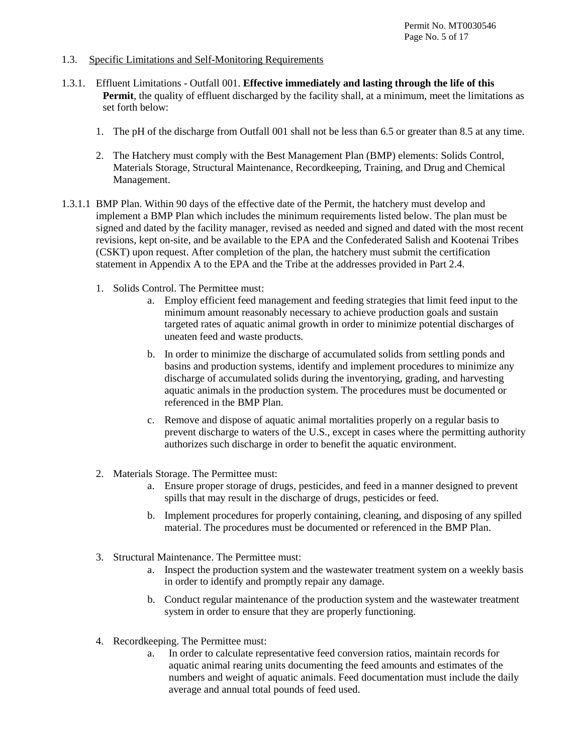#### 1.3. Specific Limitations and Self-Monitoring Requirements

- 1.3.1. Effluent Limitations Outfall 001. **Effective immediately and lasting through the life of this Permit**, the quality of effluent discharged by the facility shall, at a minimum, meet the limitations as set forth below:
	- 1. The pH of the discharge from Outfall 001 shall not be less than 6.5 or greater than 8.5 at any time.
	- 2. The Hatchery must comply with the Best Management Plan (BMP) elements: Solids Control, Materials Storage, Structural Maintenance, Recordkeeping, Training, and Drug and Chemical Management.
- 1.3.1.1 BMP Plan. Within 90 days of the effective date of the Permit, the hatchery must develop and implement a BMP Plan which includes the minimum requirements listed below. The plan must be signed and dated by the facility manager, revised as needed and signed and dated with the most recent revisions, kept on-site, and be available to the EPA and the Confederated Salish and Kootenai Tribes (CSKT) upon request. After completion of the plan, the hatchery must submit the certification statement in Appendix A to the EPA and the Tribe at the addresses provided in Part 2.4.
	- 1. Solids Control. The Permittee must:
		- a. Employ efficient feed management and feeding strategies that limit feed input to the minimum amount reasonably necessary to achieve production goals and sustain targeted rates of aquatic animal growth in order to minimize potential discharges of uneaten feed and waste products.
		- b. In order to minimize the discharge of accumulated solids from settling ponds and basins and production systems, identify and implement procedures to minimize any discharge of accumulated solids during the inventorying, grading, and harvesting aquatic animals in the production system. The procedures must be documented or referenced in the BMP Plan.
		- c. Remove and dispose of aquatic animal mortalities properly on a regular basis to prevent discharge to waters of the U.S., except in cases where the permitting authority authorizes such discharge in order to benefit the aquatic environment.
	- 2. Materials Storage. The Permittee must:
		- a. Ensure proper storage of drugs, pesticides, and feed in a manner designed to prevent spills that may result in the discharge of drugs, pesticides or feed.
		- b. Implement procedures for properly containing, cleaning, and disposing of any spilled material. The procedures must be documented or referenced in the BMP Plan.
	- 3. Structural Maintenance. The Permittee must:
		- a. Inspect the production system and the wastewater treatment system on a weekly basis in order to identify and promptly repair any damage.
		- b. Conduct regular maintenance of the production system and the wastewater treatment system in order to ensure that they are properly functioning.
	- 4. Recordkeeping. The Permittee must:
		- a. In order to calculate representative feed conversion ratios, maintain records for aquatic animal rearing units documenting the feed amounts and estimates of the numbers and weight of aquatic animals. Feed documentation must include the daily average and annual total pounds of feed used.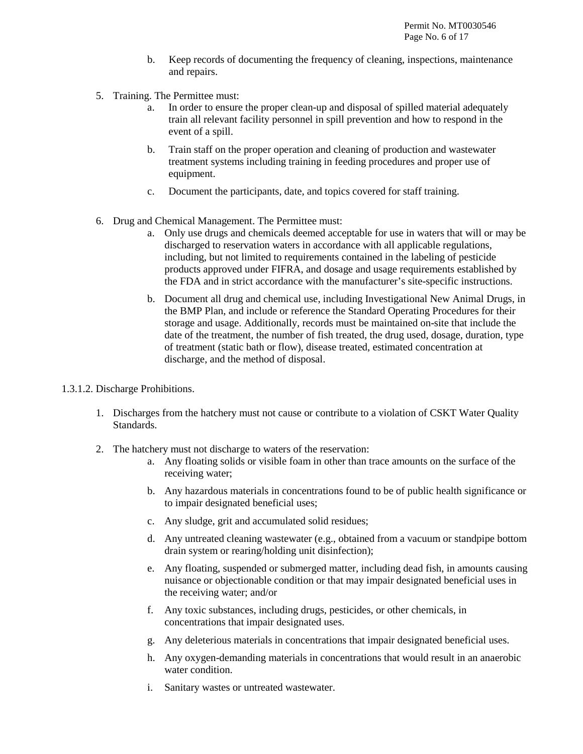- b. Keep records of documenting the frequency of cleaning, inspections, maintenance and repairs.
- 5. Training. The Permittee must:
	- a. In order to ensure the proper clean-up and disposal of spilled material adequately train all relevant facility personnel in spill prevention and how to respond in the event of a spill.
	- b. Train staff on the proper operation and cleaning of production and wastewater treatment systems including training in feeding procedures and proper use of equipment.
	- c. Document the participants, date, and topics covered for staff training.
- 6. Drug and Chemical Management. The Permittee must:
	- a. Only use drugs and chemicals deemed acceptable for use in waters that will or may be discharged to reservation waters in accordance with all applicable regulations, including, but not limited to requirements contained in the labeling of pesticide products approved under FIFRA, and dosage and usage requirements established by the FDA and in strict accordance with the manufacturer's site-specific instructions.
	- b. Document all drug and chemical use, including Investigational New Animal Drugs, in the BMP Plan, and include or reference the Standard Operating Procedures for their storage and usage. Additionally, records must be maintained on-site that include the date of the treatment, the number of fish treated, the drug used, dosage, duration, type of treatment (static bath or flow), disease treated, estimated concentration at discharge, and the method of disposal.
- 1.3.1.2. Discharge Prohibitions.
	- 1. Discharges from the hatchery must not cause or contribute to a violation of CSKT Water Quality Standards.
	- 2. The hatchery must not discharge to waters of the reservation:
		- a. Any floating solids or visible foam in other than trace amounts on the surface of the receiving water;
		- b. Any hazardous materials in concentrations found to be of public health significance or to impair designated beneficial uses;
		- c. Any sludge, grit and accumulated solid residues;
		- d. Any untreated cleaning wastewater (e.g., obtained from a vacuum or standpipe bottom drain system or rearing/holding unit disinfection);
		- e. Any floating, suspended or submerged matter, including dead fish, in amounts causing nuisance or objectionable condition or that may impair designated beneficial uses in the receiving water; and/or
		- f. Any toxic substances, including drugs, pesticides, or other chemicals, in concentrations that impair designated uses.
		- g. Any deleterious materials in concentrations that impair designated beneficial uses.
		- h. Any oxygen-demanding materials in concentrations that would result in an anaerobic water condition.
		- i. Sanitary wastes or untreated wastewater.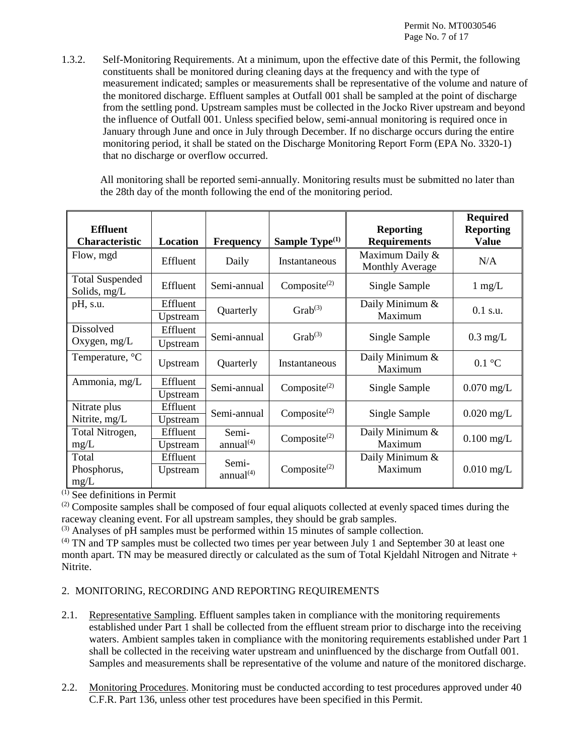1.3.2. Self-Monitoring Requirements. At a minimum, upon the effective date of this Permit, the following constituents shall be monitored during cleaning days at the frequency and with the type of measurement indicated; samples or measurements shall be representative of the volume and nature of the monitored discharge. Effluent samples at Outfall 001 shall be sampled at the point of discharge from the settling pond. Upstream samples must be collected in the Jocko River upstream and beyond the influence of Outfall 001. Unless specified below, semi-annual monitoring is required once in January through June and once in July through December. If no discharge occurs during the entire monitoring period, it shall be stated on the Discharge Monitoring Report Form (EPA No. 3320-1) that no discharge or overflow occurred.

All monitoring shall be reported semi-annually. Monitoring results must be submitted no later than the 28th day of the month following the end of the monitoring period.

| <b>Effluent</b><br><b>Characteristic</b> | Location             | <b>Frequency</b>               | Sample Type <sup>(1)</sup> | <b>Reporting</b><br><b>Requirements</b>   | <b>Required</b><br><b>Reporting</b><br><b>Value</b> |
|------------------------------------------|----------------------|--------------------------------|----------------------------|-------------------------------------------|-----------------------------------------------------|
| Flow, mgd                                | Effluent             | Daily                          | Instantaneous              | Maximum Daily &<br><b>Monthly Average</b> | N/A                                                 |
| <b>Total Suspended</b><br>Solids, mg/L   | Effluent             | Semi-annual                    | Composite <sup>(2)</sup>   | Single Sample                             | $1 \text{ mg/L}$                                    |
| pH, s.u.                                 | Effluent<br>Upstream | Quarterly                      | $Graph(3)$                 | Daily Minimum &<br>Maximum                | $0.1$ s.u.                                          |
| Dissolved<br>Oxygen, $mg/L$              | Effluent<br>Upstream | Semi-annual                    | $Grab^{(3)}$               | Single Sample                             | $0.3$ mg/L                                          |
| Temperature, °C                          | Upstream             | Quarterly                      | Instantaneous              | Daily Minimum &<br>Maximum                | $0.1 \text{ }^{\circ}C$                             |
| Ammonia, mg/L                            | Effluent<br>Upstream | Semi-annual                    | Composite <sup>(2)</sup>   | Single Sample                             | $0.070$ mg/L                                        |
| Nitrate plus<br>Nitrite, mg/L            | Effluent<br>Upstream | Semi-annual                    | Composite $^{(2)}$         | Single Sample                             | $0.020$ mg/L                                        |
| Total Nitrogen,<br>mg/L                  | Effluent<br>Upstream | Semi-<br>annual <sup>(4)</sup> | Composite $^{(2)}$         | Daily Minimum &<br>Maximum                | $0.100$ mg/L                                        |
| Total<br>Phosphorus,<br>mg/L             | Effluent<br>Upstream | Semi-<br>annual <sup>(4)</sup> | Composite <sup>(2)</sup>   | Daily Minimum &<br>Maximum                | $0.010$ mg/L                                        |

 $(1)$  See definitions in Permit

 $^{(2)}$  Composite samples shall be composed of four equal aliquots collected at evenly spaced times during the raceway cleaning event. For all upstream samples, they should be grab samples.

 $<sup>(3)</sup>$  Analyses of pH samples must be performed within 15 minutes of sample collection.</sup>

 $<sup>(4)</sup>$  TN and TP samples must be collected two times per year between July 1 and September 30 at least one</sup> month apart. TN may be measured directly or calculated as the sum of Total Kjeldahl Nitrogen and Nitrate  $+$ Nitrite.

### 2. MONITORING, RECORDING AND REPORTING REQUIREMENTS

- 2.1. Representative Sampling. Effluent samples taken in compliance with the monitoring requirements established under Part 1 shall be collected from the effluent stream prior to discharge into the receiving waters. Ambient samples taken in compliance with the monitoring requirements established under Part 1 shall be collected in the receiving water upstream and uninfluenced by the discharge from Outfall 001. Samples and measurements shall be representative of the volume and nature of the monitored discharge.
- 2.2. Monitoring Procedures. Monitoring must be conducted according to test procedures approved under 40 C.F.R. Part 136, unless other test procedures have been specified in this Permit.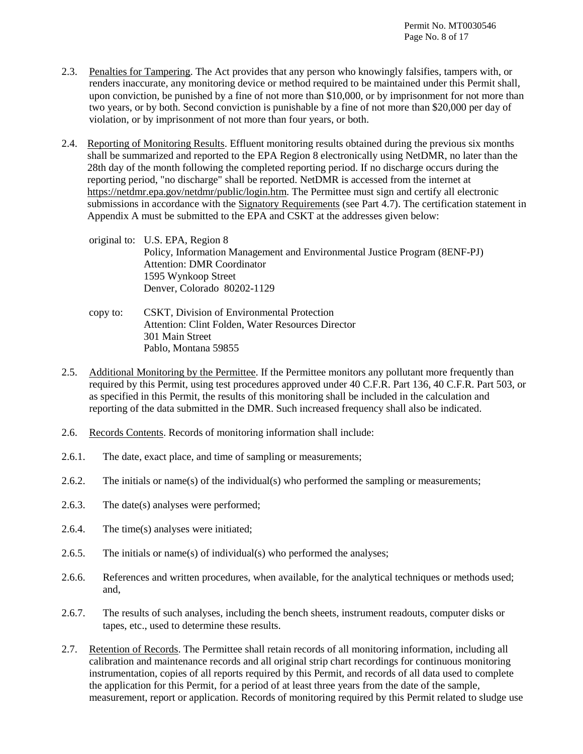- 2.3. Penalties for Tampering. The Act provides that any person who knowingly falsifies, tampers with, or renders inaccurate, any monitoring device or method required to be maintained under this Permit shall, upon conviction, be punished by a fine of not more than \$10,000, or by imprisonment for not more than two years, or by both. Second conviction is punishable by a fine of not more than \$20,000 per day of violation, or by imprisonment of not more than four years, or both.
- 2.4. Reporting of Monitoring Results. Effluent monitoring results obtained during the previous six months shall be summarized and reported to the EPA Region 8 electronically using NetDMR, no later than the 28th day of the month following the completed reporting period. If no discharge occurs during the reporting period, "no discharge" shall be reported. NetDMR is accessed from the internet at [https://netdmr.epa.gov/netdmr/public/login.htm.](https://netdmr.epa.gov/netdmr/public/login.htm) The Permittee must sign and certify all electronic submissions in accordance with the Signatory Requirements (see Part 4.7). The certification statement in Appendix A must be submitted to the EPA and CSKT at the addresses given below:
	- original to: U.S. EPA, Region 8 Policy, Information Management and Environmental Justice Program (8ENF-PJ) Attention: DMR Coordinator 1595 Wynkoop Street Denver, Colorado 80202-1129
	- copy to: CSKT, Division of Environmental Protection Attention: Clint Folden, Water Resources Director 301 Main Street Pablo, Montana 59855
- 2.5. Additional Monitoring by the Permittee. If the Permittee monitors any pollutant more frequently than required by this Permit, using test procedures approved under 40 C.F.R. Part 136, 40 C.F.R. Part 503, or as specified in this Permit, the results of this monitoring shall be included in the calculation and reporting of the data submitted in the DMR. Such increased frequency shall also be indicated.
- 2.6. Records Contents. Records of monitoring information shall include:
- 2.6.1. The date, exact place, and time of sampling or measurements;
- 2.6.2. The initials or name(s) of the individual(s) who performed the sampling or measurements;
- 2.6.3. The date(s) analyses were performed;
- 2.6.4. The time(s) analyses were initiated;
- 2.6.5. The initials or name(s) of individual(s) who performed the analyses;
- 2.6.6. References and written procedures, when available, for the analytical techniques or methods used; and,
- 2.6.7. The results of such analyses, including the bench sheets, instrument readouts, computer disks or tapes, etc., used to determine these results.
- 2.7. Retention of Records. The Permittee shall retain records of all monitoring information, including all calibration and maintenance records and all original strip chart recordings for continuous monitoring instrumentation, copies of all reports required by this Permit, and records of all data used to complete the application for this Permit, for a period of at least three years from the date of the sample, measurement, report or application. Records of monitoring required by this Permit related to sludge use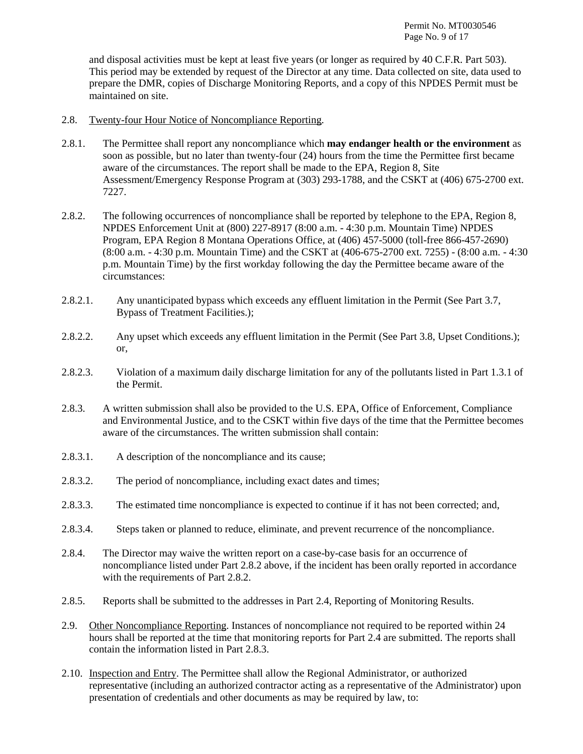and disposal activities must be kept at least five years (or longer as required by 40 C.F.R. Part 503). This period may be extended by request of the Director at any time. Data collected on site, data used to prepare the DMR, copies of Discharge Monitoring Reports, and a copy of this NPDES Permit must be maintained on site.

- 2.8. Twenty-four Hour Notice of Noncompliance Reporting.
- 2.8.1. The Permittee shall report any noncompliance which **may endanger health or the environment** as soon as possible, but no later than twenty-four (24) hours from the time the Permittee first became aware of the circumstances. The report shall be made to the EPA, Region 8, Site Assessment/Emergency Response Program at (303) 293-1788, and the CSKT at (406) 675-2700 ext. 7227.
- 2.8.2. The following occurrences of noncompliance shall be reported by telephone to the EPA, Region 8, NPDES Enforcement Unit at (800) 227-8917 (8:00 a.m. - 4:30 p.m. Mountain Time) NPDES Program, EPA Region 8 Montana Operations Office, at (406) 457-5000 (toll-free 866-457-2690) (8:00 a.m. - 4:30 p.m. Mountain Time) and the CSKT at (406-675-2700 ext. 7255) - (8:00 a.m. - 4:30 p.m. Mountain Time) by the first workday following the day the Permittee became aware of the circumstances:
- 2.8.2.1. Any unanticipated bypass which exceeds any effluent limitation in the Permit (See Part 3.7, Bypass of Treatment Facilities.);
- 2.8.2.2. Any upset which exceeds any effluent limitation in the Permit (See Part 3.8, Upset Conditions.); or,
- 2.8.2.3. Violation of a maximum daily discharge limitation for any of the pollutants listed in Part 1.3.1 of the Permit.
- 2.8.3. A written submission shall also be provided to the U.S. EPA, Office of Enforcement, Compliance and Environmental Justice, and to the CSKT within five days of the time that the Permittee becomes aware of the circumstances. The written submission shall contain:
- 2.8.3.1. A description of the noncompliance and its cause;
- 2.8.3.2. The period of noncompliance, including exact dates and times;
- 2.8.3.3. The estimated time noncompliance is expected to continue if it has not been corrected; and,
- 2.8.3.4. Steps taken or planned to reduce, eliminate, and prevent recurrence of the noncompliance.
- 2.8.4. The Director may waive the written report on a case-by-case basis for an occurrence of noncompliance listed under Part 2.8.2 above, if the incident has been orally reported in accordance with the requirements of Part 2.8.2.
- 2.8.5. Reports shall be submitted to the addresses in Part 2.4, Reporting of Monitoring Results.
- 2.9. Other Noncompliance Reporting. Instances of noncompliance not required to be reported within 24 hours shall be reported at the time that monitoring reports for Part 2.4 are submitted. The reports shall contain the information listed in Part 2.8.3.
- 2.10. Inspection and Entry. The Permittee shall allow the Regional Administrator, or authorized representative (including an authorized contractor acting as a representative of the Administrator) upon presentation of credentials and other documents as may be required by law, to: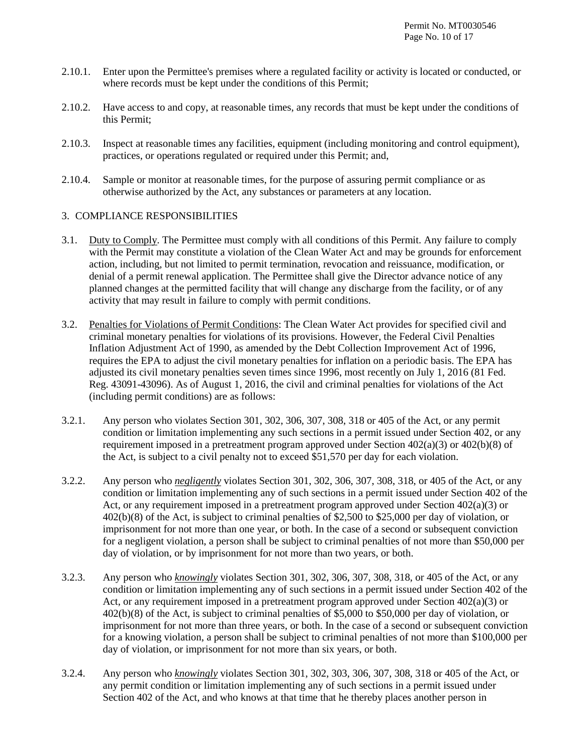- 2.10.1. Enter upon the Permittee's premises where a regulated facility or activity is located or conducted, or where records must be kept under the conditions of this Permit;
- 2.10.2. Have access to and copy, at reasonable times, any records that must be kept under the conditions of this Permit;
- 2.10.3. Inspect at reasonable times any facilities, equipment (including monitoring and control equipment), practices, or operations regulated or required under this Permit; and,
- 2.10.4. Sample or monitor at reasonable times, for the purpose of assuring permit compliance or as otherwise authorized by the Act, any substances or parameters at any location.

#### 3. COMPLIANCE RESPONSIBILITIES

- 3.1. Duty to Comply. The Permittee must comply with all conditions of this Permit. Any failure to comply with the Permit may constitute a violation of the Clean Water Act and may be grounds for enforcement action, including, but not limited to permit termination, revocation and reissuance, modification, or denial of a permit renewal application. The Permittee shall give the Director advance notice of any planned changes at the permitted facility that will change any discharge from the facility, or of any activity that may result in failure to comply with permit conditions.
- 3.2. Penalties for Violations of Permit Conditions: The Clean Water Act provides for specified civil and criminal monetary penalties for violations of its provisions. However, the Federal Civil Penalties Inflation Adjustment Act of 1990, as amended by the Debt Collection Improvement Act of 1996, requires the EPA to adjust the civil monetary penalties for inflation on a periodic basis. The EPA has adjusted its civil monetary penalties seven times since 1996, most recently on July 1, 2016 (81 Fed. Reg. 43091-43096). As of August 1, 2016, the civil and criminal penalties for violations of the Act (including permit conditions) are as follows:
- 3.2.1. Any person who violates Section 301, 302, 306, 307, 308, 318 or 405 of the Act, or any permit condition or limitation implementing any such sections in a permit issued under Section 402, or any requirement imposed in a pretreatment program approved under Section  $402(a)(3)$  or  $402(b)(8)$  of the Act, is subject to a civil penalty not to exceed \$51,570 per day for each violation.
- 3.2.2. Any person who *negligently* violates Section 301, 302, 306, 307, 308, 318, or 405 of the Act, or any condition or limitation implementing any of such sections in a permit issued under Section 402 of the Act, or any requirement imposed in a pretreatment program approved under Section 402(a)(3) or 402(b)(8) of the Act, is subject to criminal penalties of \$2,500 to \$25,000 per day of violation, or imprisonment for not more than one year, or both. In the case of a second or subsequent conviction for a negligent violation, a person shall be subject to criminal penalties of not more than \$50,000 per day of violation, or by imprisonment for not more than two years, or both.
- 3.2.3. Any person who *knowingly* violates Section 301, 302, 306, 307, 308, 318, or 405 of the Act, or any condition or limitation implementing any of such sections in a permit issued under Section 402 of the Act, or any requirement imposed in a pretreatment program approved under Section 402(a)(3) or 402(b)(8) of the Act, is subject to criminal penalties of \$5,000 to \$50,000 per day of violation, or imprisonment for not more than three years, or both. In the case of a second or subsequent conviction for a knowing violation, a person shall be subject to criminal penalties of not more than \$100,000 per day of violation, or imprisonment for not more than six years, or both.
- 3.2.4. Any person who *knowingly* violates Section 301, 302, 303, 306, 307, 308, 318 or 405 of the Act, or any permit condition or limitation implementing any of such sections in a permit issued under Section 402 of the Act, and who knows at that time that he thereby places another person in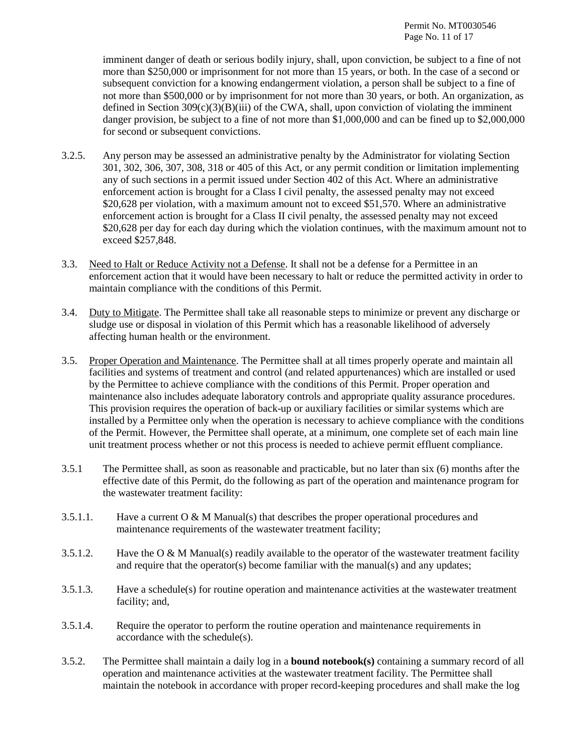imminent danger of death or serious bodily injury, shall, upon conviction, be subject to a fine of not more than \$250,000 or imprisonment for not more than 15 years, or both. In the case of a second or subsequent conviction for a knowing endangerment violation, a person shall be subject to a fine of not more than \$500,000 or by imprisonment for not more than 30 years, or both. An organization, as defined in Section  $309(c)(3)(B)(iii)$  of the CWA, shall, upon conviction of violating the imminent danger provision, be subject to a fine of not more than \$1,000,000 and can be fined up to \$2,000,000 for second or subsequent convictions.

- 3.2.5. Any person may be assessed an administrative penalty by the Administrator for violating Section 301, 302, 306, 307, 308, 318 or 405 of this Act, or any permit condition or limitation implementing any of such sections in a permit issued under Section 402 of this Act. Where an administrative enforcement action is brought for a Class I civil penalty, the assessed penalty may not exceed \$20,628 per violation, with a maximum amount not to exceed \$51,570. Where an administrative enforcement action is brought for a Class II civil penalty, the assessed penalty may not exceed \$20,628 per day for each day during which the violation continues, with the maximum amount not to exceed \$257,848.
- 3.3. Need to Halt or Reduce Activity not a Defense. It shall not be a defense for a Permittee in an enforcement action that it would have been necessary to halt or reduce the permitted activity in order to maintain compliance with the conditions of this Permit.
- 3.4. Duty to Mitigate. The Permittee shall take all reasonable steps to minimize or prevent any discharge or sludge use or disposal in violation of this Permit which has a reasonable likelihood of adversely affecting human health or the environment.
- 3.5. Proper Operation and Maintenance. The Permittee shall at all times properly operate and maintain all facilities and systems of treatment and control (and related appurtenances) which are installed or used by the Permittee to achieve compliance with the conditions of this Permit. Proper operation and maintenance also includes adequate laboratory controls and appropriate quality assurance procedures. This provision requires the operation of back-up or auxiliary facilities or similar systems which are installed by a Permittee only when the operation is necessary to achieve compliance with the conditions of the Permit. However, the Permittee shall operate, at a minimum, one complete set of each main line unit treatment process whether or not this process is needed to achieve permit effluent compliance.
- 3.5.1 The Permittee shall, as soon as reasonable and practicable, but no later than six (6) months after the effective date of this Permit, do the following as part of the operation and maintenance program for the wastewater treatment facility:
- 3.5.1.1. Have a current  $\overline{O} \& M$  Manual(s) that describes the proper operational procedures and maintenance requirements of the wastewater treatment facility;
- 3.5.1.2. Have the  $\alpha \& M$  Manual(s) readily available to the operator of the wastewater treatment facility and require that the operator(s) become familiar with the manual(s) and any updates;
- 3.5.1.3. Have a schedule(s) for routine operation and maintenance activities at the wastewater treatment facility; and,
- 3.5.1.4. Require the operator to perform the routine operation and maintenance requirements in accordance with the schedule(s).
- 3.5.2. The Permittee shall maintain a daily log in a **bound notebook(s)** containing a summary record of all operation and maintenance activities at the wastewater treatment facility. The Permittee shall maintain the notebook in accordance with proper record-keeping procedures and shall make the log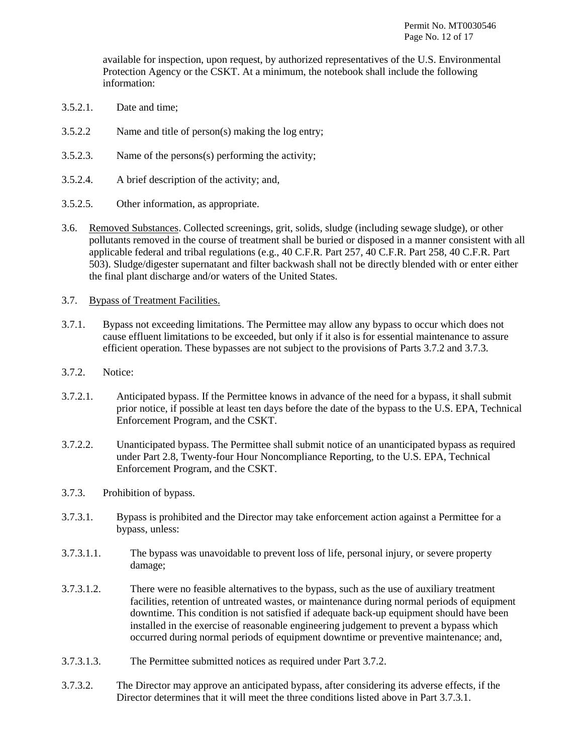available for inspection, upon request, by authorized representatives of the U.S. Environmental Protection Agency or the CSKT. At a minimum, the notebook shall include the following information:

- 3.5.2.1. Date and time;
- 3.5.2.2 Name and title of person(s) making the log entry;
- 3.5.2.3. Name of the persons(s) performing the activity;
- 3.5.2.4. A brief description of the activity; and,
- 3.5.2.5. Other information, as appropriate.
- 3.6. Removed Substances. Collected screenings, grit, solids, sludge (including sewage sludge), or other pollutants removed in the course of treatment shall be buried or disposed in a manner consistent with all applicable federal and tribal regulations (e.g., 40 C.F.R. Part 257, 40 C.F.R. Part 258, 40 C.F.R. Part 503). Sludge/digester supernatant and filter backwash shall not be directly blended with or enter either the final plant discharge and/or waters of the United States.
- 3.7. Bypass of Treatment Facilities.
- 3.7.1. Bypass not exceeding limitations. The Permittee may allow any bypass to occur which does not cause effluent limitations to be exceeded, but only if it also is for essential maintenance to assure efficient operation. These bypasses are not subject to the provisions of Parts 3.7.2 and 3.7.3.
- 3.7.2. Notice:
- 3.7.2.1. Anticipated bypass. If the Permittee knows in advance of the need for a bypass, it shall submit prior notice, if possible at least ten days before the date of the bypass to the U.S. EPA, Technical Enforcement Program, and the CSKT.
- 3.7.2.2. Unanticipated bypass. The Permittee shall submit notice of an unanticipated bypass as required under Part 2.8, Twenty-four Hour Noncompliance Reporting, to the U.S. EPA, Technical Enforcement Program, and the CSKT.
- 3.7.3. Prohibition of bypass.
- 3.7.3.1. Bypass is prohibited and the Director may take enforcement action against a Permittee for a bypass, unless:
- 3.7.3.1.1. The bypass was unavoidable to prevent loss of life, personal injury, or severe property damage;
- 3.7.3.1.2. There were no feasible alternatives to the bypass, such as the use of auxiliary treatment facilities, retention of untreated wastes, or maintenance during normal periods of equipment downtime. This condition is not satisfied if adequate back-up equipment should have been installed in the exercise of reasonable engineering judgement to prevent a bypass which occurred during normal periods of equipment downtime or preventive maintenance; and,
- 3.7.3.1.3. The Permittee submitted notices as required under Part 3.7.2.
- 3.7.3.2. The Director may approve an anticipated bypass, after considering its adverse effects, if the Director determines that it will meet the three conditions listed above in Part 3.7.3.1.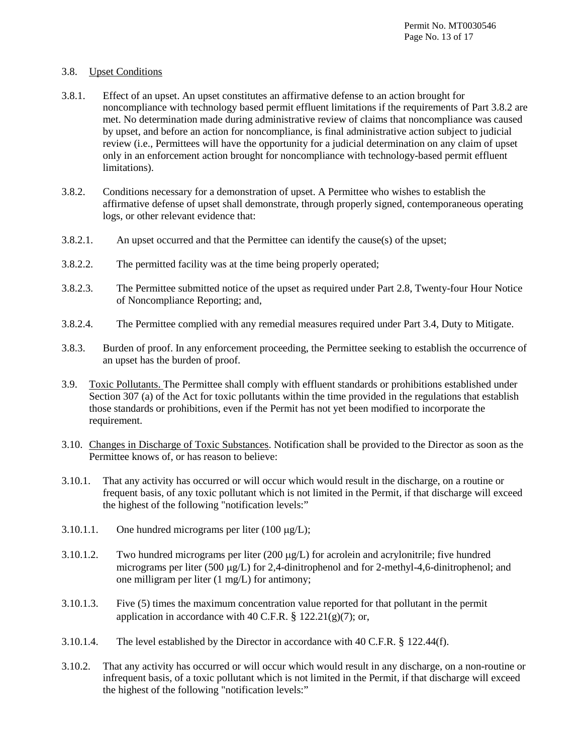### 3.8. Upset Conditions

- 3.8.1. Effect of an upset. An upset constitutes an affirmative defense to an action brought for noncompliance with technology based permit effluent limitations if the requirements of Part 3.8.2 are met. No determination made during administrative review of claims that noncompliance was caused by upset, and before an action for noncompliance, is final administrative action subject to judicial review (i.e., Permittees will have the opportunity for a judicial determination on any claim of upset only in an enforcement action brought for noncompliance with technology-based permit effluent limitations).
- 3.8.2. Conditions necessary for a demonstration of upset. A Permittee who wishes to establish the affirmative defense of upset shall demonstrate, through properly signed, contemporaneous operating logs, or other relevant evidence that:
- 3.8.2.1. An upset occurred and that the Permittee can identify the cause(s) of the upset;
- 3.8.2.2. The permitted facility was at the time being properly operated;
- 3.8.2.3. The Permittee submitted notice of the upset as required under Part 2.8, Twenty-four Hour Notice of Noncompliance Reporting; and,
- 3.8.2.4. The Permittee complied with any remedial measures required under Part 3.4, Duty to Mitigate.
- 3.8.3. Burden of proof. In any enforcement proceeding, the Permittee seeking to establish the occurrence of an upset has the burden of proof.
- 3.9. Toxic Pollutants. The Permittee shall comply with effluent standards or prohibitions established under Section 307 (a) of the Act for toxic pollutants within the time provided in the regulations that establish those standards or prohibitions, even if the Permit has not yet been modified to incorporate the requirement.
- 3.10. Changes in Discharge of Toxic Substances. Notification shall be provided to the Director as soon as the Permittee knows of, or has reason to believe:
- 3.10.1. That any activity has occurred or will occur which would result in the discharge, on a routine or frequent basis, of any toxic pollutant which is not limited in the Permit, if that discharge will exceed the highest of the following "notification levels:"
- 3.10.1.1. One hundred micrograms per liter  $(100 \mu g/L)$ ;
- 3.10.1.2. Two hundred micrograms per liter (200 µg/L) for acrolein and acrylonitrile; five hundred micrograms per liter (500  $\mu$ g/L) for 2,4-dinitrophenol and for 2-methyl-4,6-dinitrophenol; and one milligram per liter (1 mg/L) for antimony;
- 3.10.1.3. Five (5) times the maximum concentration value reported for that pollutant in the permit application in accordance with 40 C.F.R.  $\S$  122.21(g)(7); or,
- 3.10.1.4. The level established by the Director in accordance with 40 C.F.R. § 122.44(f).
- 3.10.2. That any activity has occurred or will occur which would result in any discharge, on a non-routine or infrequent basis, of a toxic pollutant which is not limited in the Permit, if that discharge will exceed the highest of the following "notification levels:"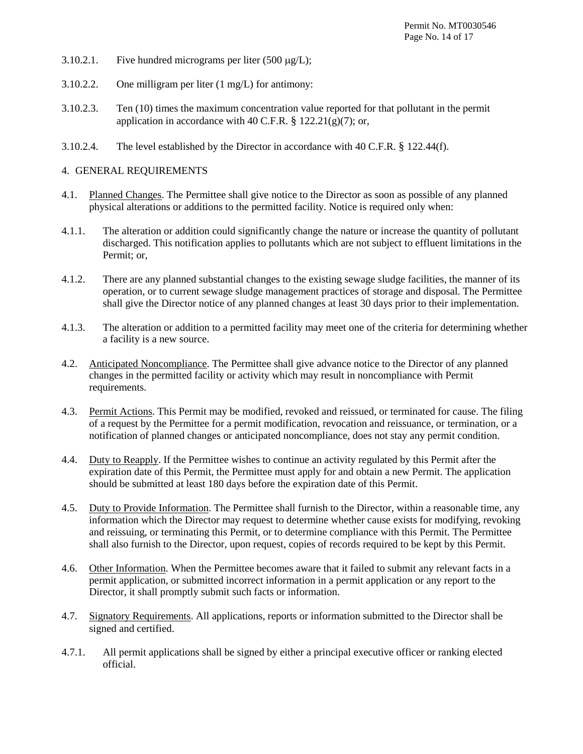- 3.10.2.1. Five hundred micrograms per liter  $(500 \mu g/L)$ ;
- 3.10.2.2. One milligram per liter (1 mg/L) for antimony:
- 3.10.2.3. Ten (10) times the maximum concentration value reported for that pollutant in the permit application in accordance with 40 C.F.R.  $\S$  122.21(g)(7); or,
- 3.10.2.4. The level established by the Director in accordance with 40 C.F.R. § 122.44(f).

# 4. GENERAL REQUIREMENTS

- 4.1. Planned Changes. The Permittee shall give notice to the Director as soon as possible of any planned physical alterations or additions to the permitted facility. Notice is required only when:
- 4.1.1. The alteration or addition could significantly change the nature or increase the quantity of pollutant discharged. This notification applies to pollutants which are not subject to effluent limitations in the Permit; or,
- 4.1.2. There are any planned substantial changes to the existing sewage sludge facilities, the manner of its operation, or to current sewage sludge management practices of storage and disposal. The Permittee shall give the Director notice of any planned changes at least 30 days prior to their implementation.
- 4.1.3. The alteration or addition to a permitted facility may meet one of the criteria for determining whether a facility is a new source.
- 4.2. Anticipated Noncompliance. The Permittee shall give advance notice to the Director of any planned changes in the permitted facility or activity which may result in noncompliance with Permit requirements.
- 4.3. Permit Actions. This Permit may be modified, revoked and reissued, or terminated for cause. The filing of a request by the Permittee for a permit modification, revocation and reissuance, or termination, or a notification of planned changes or anticipated noncompliance, does not stay any permit condition.
- 4.4. Duty to Reapply. If the Permittee wishes to continue an activity regulated by this Permit after the expiration date of this Permit, the Permittee must apply for and obtain a new Permit. The application should be submitted at least 180 days before the expiration date of this Permit.
- 4.5. Duty to Provide Information. The Permittee shall furnish to the Director, within a reasonable time, any information which the Director may request to determine whether cause exists for modifying, revoking and reissuing, or terminating this Permit, or to determine compliance with this Permit. The Permittee shall also furnish to the Director, upon request, copies of records required to be kept by this Permit.
- 4.6. Other Information. When the Permittee becomes aware that it failed to submit any relevant facts in a permit application, or submitted incorrect information in a permit application or any report to the Director, it shall promptly submit such facts or information.
- 4.7. Signatory Requirements. All applications, reports or information submitted to the Director shall be signed and certified.
- 4.7.1. All permit applications shall be signed by either a principal executive officer or ranking elected official.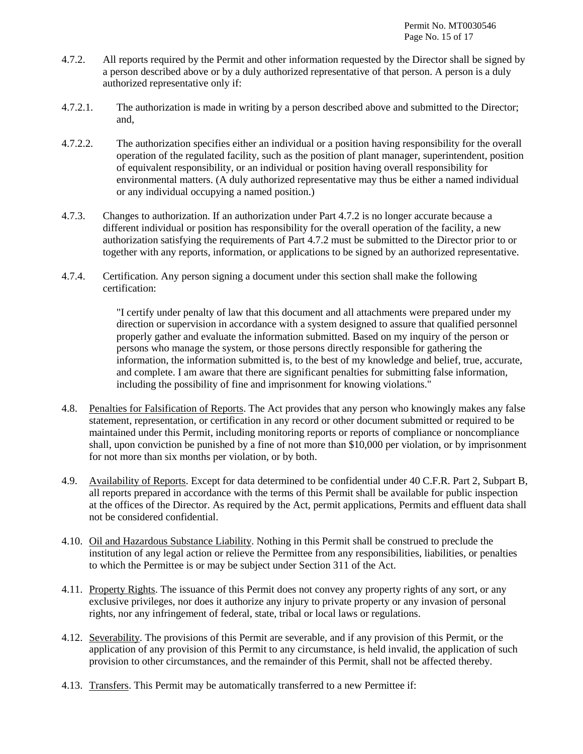- 4.7.2. All reports required by the Permit and other information requested by the Director shall be signed by a person described above or by a duly authorized representative of that person. A person is a duly authorized representative only if:
- 4.7.2.1. The authorization is made in writing by a person described above and submitted to the Director; and,
- 4.7.2.2. The authorization specifies either an individual or a position having responsibility for the overall operation of the regulated facility, such as the position of plant manager, superintendent, position of equivalent responsibility, or an individual or position having overall responsibility for environmental matters. (A duly authorized representative may thus be either a named individual or any individual occupying a named position.)
- 4.7.3. Changes to authorization. If an authorization under Part 4.7.2 is no longer accurate because a different individual or position has responsibility for the overall operation of the facility, a new authorization satisfying the requirements of Part 4.7.2 must be submitted to the Director prior to or together with any reports, information, or applications to be signed by an authorized representative.
- 4.7.4. Certification. Any person signing a document under this section shall make the following certification:

"I certify under penalty of law that this document and all attachments were prepared under my direction or supervision in accordance with a system designed to assure that qualified personnel properly gather and evaluate the information submitted. Based on my inquiry of the person or persons who manage the system, or those persons directly responsible for gathering the information, the information submitted is, to the best of my knowledge and belief, true, accurate, and complete. I am aware that there are significant penalties for submitting false information, including the possibility of fine and imprisonment for knowing violations."

- 4.8. Penalties for Falsification of Reports. The Act provides that any person who knowingly makes any false statement, representation, or certification in any record or other document submitted or required to be maintained under this Permit, including monitoring reports or reports of compliance or noncompliance shall, upon conviction be punished by a fine of not more than \$10,000 per violation, or by imprisonment for not more than six months per violation, or by both.
- 4.9. Availability of Reports. Except for data determined to be confidential under 40 C.F.R. Part 2, Subpart B, all reports prepared in accordance with the terms of this Permit shall be available for public inspection at the offices of the Director. As required by the Act, permit applications, Permits and effluent data shall not be considered confidential.
- 4.10. Oil and Hazardous Substance Liability. Nothing in this Permit shall be construed to preclude the institution of any legal action or relieve the Permittee from any responsibilities, liabilities, or penalties to which the Permittee is or may be subject under Section 311 of the Act.
- 4.11. Property Rights. The issuance of this Permit does not convey any property rights of any sort, or any exclusive privileges, nor does it authorize any injury to private property or any invasion of personal rights, nor any infringement of federal, state, tribal or local laws or regulations.
- 4.12. Severability. The provisions of this Permit are severable, and if any provision of this Permit, or the application of any provision of this Permit to any circumstance, is held invalid, the application of such provision to other circumstances, and the remainder of this Permit, shall not be affected thereby.
- 4.13. Transfers. This Permit may be automatically transferred to a new Permittee if: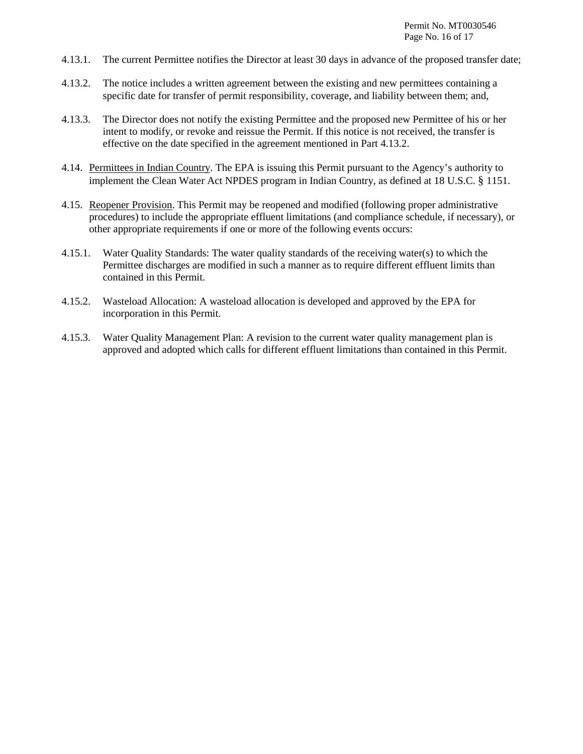- 4.13.1. The current Permittee notifies the Director at least 30 days in advance of the proposed transfer date;
- 4.13.2. The notice includes a written agreement between the existing and new permittees containing a specific date for transfer of permit responsibility, coverage, and liability between them; and,
- 4.13.3. The Director does not notify the existing Permittee and the proposed new Permittee of his or her intent to modify, or revoke and reissue the Permit. If this notice is not received, the transfer is effective on the date specified in the agreement mentioned in Part 4.13.2.
- 4.14. Permittees in Indian Country. The EPA is issuing this Permit pursuant to the Agency's authority to implement the Clean Water Act NPDES program in Indian Country, as defined at 18 U.S.C. § 1151.
- 4.15. Reopener Provision. This Permit may be reopened and modified (following proper administrative procedures) to include the appropriate effluent limitations (and compliance schedule, if necessary), or other appropriate requirements if one or more of the following events occurs:
- 4.15.1. Water Quality Standards: The water quality standards of the receiving water(s) to which the Permittee discharges are modified in such a manner as to require different effluent limits than contained in this Permit.
- 4.15.2. Wasteload Allocation: A wasteload allocation is developed and approved by the EPA for incorporation in this Permit.
- 4.15.3. Water Quality Management Plan: A revision to the current water quality management plan is approved and adopted which calls for different effluent limitations than contained in this Permit.